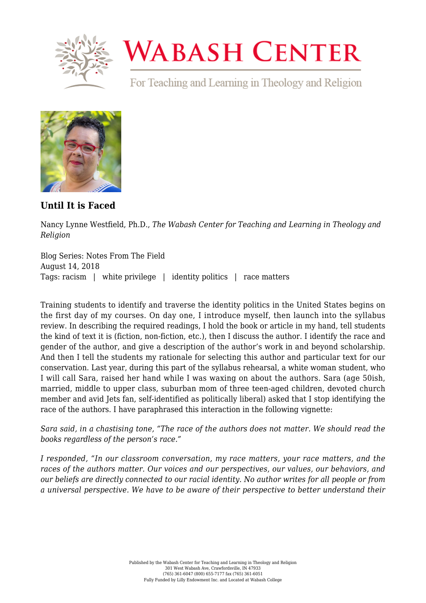

## **WABASH CENTER**

For Teaching and Learning in Theology and Religion



**[Until It is Faced](https://www.wabashcenter.wabash.edu/2018/08/until-it-is-faced/)**

Nancy Lynne Westfield, Ph.D., *The Wabash Center for Teaching and Learning in Theology and Religion*

Blog Series: Notes From The Field August 14, 2018 Tags: racism | white privilege | identity politics | race matters

Training students to identify and traverse the identity politics in the United States begins on the first day of my courses. On day one, I introduce myself, then launch into the syllabus review. In describing the required readings, I hold the book or article in my hand, tell students the kind of text it is (fiction, non-fiction, etc.), then I discuss the author. I identify the race and gender of the author, and give a description of the author's work in and beyond scholarship. And then I tell the students my rationale for selecting this author and particular text for our conservation. Last year, during this part of the syllabus rehearsal, a white woman student, who I will call Sara, raised her hand while I was waxing on about the authors. Sara (age 50ish, married, middle to upper class, suburban mom of three teen-aged children, devoted church member and avid Jets fan, self-identified as politically liberal) asked that I stop identifying the race of the authors. I have paraphrased this interaction in the following vignette:

*Sara said, in a chastising tone, "The race of the authors does not matter. We should read the books regardless of the person's race."*

*I responded, "In our classroom conversation, my race matters, your race matters, and the races of the authors matter. Our voices and our perspectives, our values, our behaviors, and our beliefs are directly connected to our racial identity. No author writes for all people or from a universal perspective. We have to be aware of their perspective to better understand their*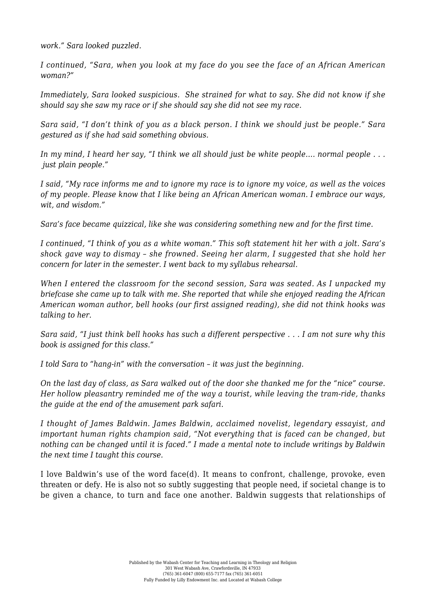*work." Sara looked puzzled.*

*I continued, "Sara, when you look at my face do you see the face of an African American woman?"*

*Immediately, Sara looked suspicious. She strained for what to say. She did not know if she should say she saw my race or if she should say she did not see my race.*

*Sara said, "I don't think of you as a black person. I think we should just be people." Sara gestured as if she had said something obvious.*

*In my mind, I heard her say, "I think we all should just be white people…. normal people . . . just plain people."*

*I said, "My race informs me and to ignore my race is to ignore my voice, as well as the voices of my people. Please know that I like being an African American woman. I embrace our ways, wit, and wisdom."*

*Sara's face became quizzical, like she was considering something new and for the first time.*

*I continued, "I think of you as a white woman." This soft statement hit her with a jolt. Sara's shock gave way to dismay – she frowned. Seeing her alarm, I suggested that she hold her concern for later in the semester. I went back to my syllabus rehearsal.*

*When I entered the classroom for the second session, Sara was seated. As I unpacked my briefcase she came up to talk with me. She reported that while she enjoyed reading the African American woman author, bell hooks (our first assigned reading), she did not think hooks was talking to her.*

*Sara said, "I just think bell hooks has such a different perspective . . . I am not sure why this book is assigned for this class."*

*I told Sara to "hang-in" with the conversation – it was just the beginning.* 

*On the last day of class, as Sara walked out of the door she thanked me for the "nice" course. Her hollow pleasantry reminded me of the way a tourist, while leaving the tram-ride, thanks the guide at the end of the amusement park safari.* 

*I thought of James Baldwin. James Baldwin, acclaimed novelist, legendary essayist, and important human rights champion said, "Not everything that is faced can be changed, but nothing can be changed until it is faced." I made a mental note to include writings by Baldwin the next time I taught this course.*

I love Baldwin's use of the word face(d). It means to confront, challenge, provoke, even threaten or defy. He is also not so subtly suggesting that people need, if societal change is to be given a chance, to turn and face one another. Baldwin suggests that relationships of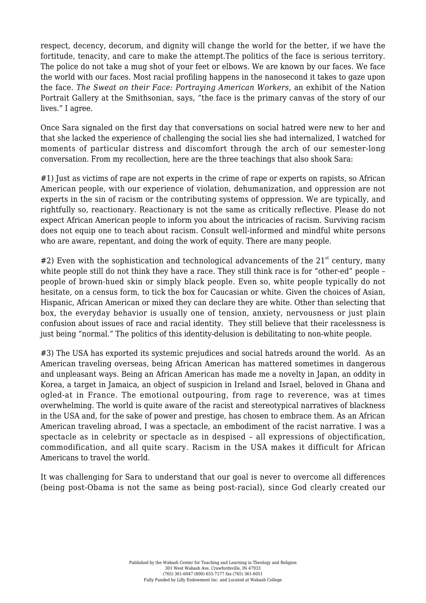respect, decency, decorum, and dignity will change the world for the better, if we have the fortitude, tenacity, and care to make the attempt.The politics of the face is serious territory. The police do not take a mug shot of your feet or elbows. We are known by our faces. We face the world with our faces. Most racial profiling happens in the nanosecond it takes to gaze upon the face. *The Sweat on their Face: Portraying American Workers,* an exhibit of the Nation Portrait Gallery at the Smithsonian, says, "the face is the primary canvas of the story of our lives." I agree.

Once Sara signaled on the first day that conversations on social hatred were new to her and that she lacked the experience of challenging the social lies she had internalized, I watched for moments of particular distress and discomfort through the arch of our semester-long conversation. From my recollection, here are the three teachings that also shook Sara:

#1) Just as victims of rape are not experts in the crime of rape or experts on rapists, so African American people, with our experience of violation, dehumanization, and oppression are not experts in the sin of racism or the contributing systems of oppression. We are typically, and rightfully so, reactionary. Reactionary is not the same as critically reflective. Please do not expect African American people to inform you about the intricacies of racism. Surviving racism does not equip one to teach about racism. Consult well-informed and mindful white persons who are aware, repentant, and doing the work of equity. There are many people.

 $#2$ ) Even with the sophistication and technological advancements of the 21<sup>st</sup> century, many white people still do not think they have a race. They still think race is for "other-ed" people people of brown-hued skin or simply black people. Even so, white people typically do not hesitate, on a census form, to tick the box for Caucasian or white. Given the choices of Asian, Hispanic, African American or mixed they can declare they are white. Other than selecting that box, the everyday behavior is usually one of tension, anxiety, nervousness or just plain confusion about issues of race and racial identity. They still believe that their racelessness is just being "normal." The politics of this identity-delusion is debilitating to non-white people.

#3) The USA has exported its systemic prejudices and social hatreds around the world. As an American traveling overseas, being African American has mattered sometimes in dangerous and unpleasant ways. Being an African American has made me a novelty in Japan, an oddity in Korea, a target in Jamaica, an object of suspicion in Ireland and Israel, beloved in Ghana and ogled-at in France. The emotional outpouring, from rage to reverence, was at times overwhelming. The world is quite aware of the racist and stereotypical narratives of blackness in the USA and, for the sake of power and prestige, has chosen to embrace them. As an African American traveling abroad, I was a spectacle, an embodiment of the racist narrative. I was a spectacle as in celebrity or spectacle as in despised – all expressions of objectification, commodification, and all quite scary. Racism in the USA makes it difficult for African Americans to travel the world.

It was challenging for Sara to understand that our goal is never to overcome all differences (being post-Obama is not the same as being post-racial), since God clearly created our